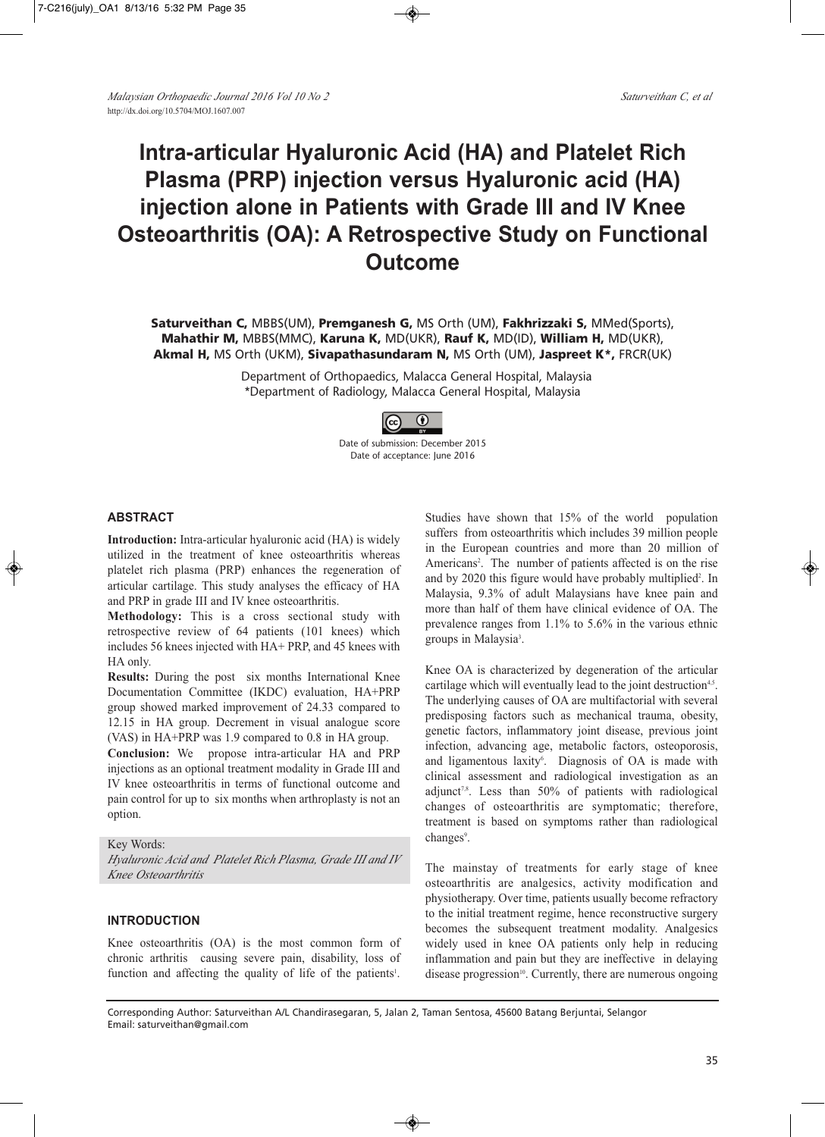# **Intra-articular Hyaluronic Acid (HA) and Platelet Rich Plasma (PRP) injection versus Hyaluronic acid (HA) injection alone in Patients with Grade III and IV Knee Osteoarthritis (OA): A Retrospective Study on Functional Outcome**

**Saturveithan C,** MBBS(UM), **Premganesh G,** MS Orth (UM), **Fakhrizzaki S,** MMed(Sports), **Mahathir M,** MBBS(MMC), **Karuna K,** MD(UKR), **Rauf K,** MD(ID), **William H,** MD(UKR), **Akmal H,** MS Orth (UKM), **Sivapathasundaram N,** MS Orth (UM), **Jaspreet K\*,** FRCR(UK)

> Department of Orthopaedics, Malacca General Hospital, Malaysia \*Department of Radiology, Malacca General Hospital, Malaysia



Date of submission: December 2015 Date of acceptance: June 2016

#### **ABSTRACT**

**Introduction:** Intra-articular hyaluronic acid (HA) is widely utilized in the treatment of knee osteoarthritis whereas platelet rich plasma (PRP) enhances the regeneration of articular cartilage. This study analyses the efficacy of HA and PRP in grade III and IV knee osteoarthritis.

**Methodology:** This is a cross sectional study with retrospective review of 64 patients (101 knees) which includes 56 knees injected with HA+ PRP, and 45 knees with HA only.

**Results:** During the post six months International Knee Documentation Committee (IKDC) evaluation, HA+PRP group showed marked improvement of 24.33 compared to 12.15 in HA group. Decrement in visual analogue score (VAS) in HA+PRP was 1.9 compared to 0.8 in HA group.

**Conclusion:** We propose intra-articular HA and PRP injections as an optional treatment modality in Grade III and IV knee osteoarthritis in terms of functional outcome and pain control for up to six months when arthroplasty is not an option.

Key Words:

*Hyaluronic Acid and Platelet Rich Plasma, Grade III and IV Knee Osteoarthritis*

# **INTRODUCTION**

Knee osteoarthritis (OA) is the most common form of chronic arthritis causing severe pain, disability, loss of function and affecting the quality of life of the patients<sup>1</sup>.

Studies have shown that 15% of the world population suffers from osteoarthritis which includes 39 million people in the European countries and more than 20 million of Americans<sup>2</sup>. The number of patients affected is on the rise and by 2020 this figure would have probably multiplied<sup>2</sup>. In Malaysia, 9.3% of adult Malaysians have knee pain and more than half of them have clinical evidence of OA. The prevalence ranges from 1.1% to 5.6% in the various ethnic groups in Malaysia<sup>3</sup>.

Knee OA is characterized by degeneration of the articular cartilage which will eventually lead to the joint destruction<sup>4,5</sup>. The underlying causes of OA are multifactorial with several predisposing factors such as mechanical trauma, obesity, genetic factors, inflammatory joint disease, previous joint infection, advancing age, metabolic factors, osteoporosis, and ligamentous laxity<sup>6</sup>. Diagnosis of OA is made with clinical assessment and radiological investigation as an adjunct<sup>7,8</sup>. Less than 50% of patients with radiological changes of osteoarthritis are symptomatic; therefore, treatment is based on symptoms rather than radiological changes<sup>9</sup>.

The mainstay of treatments for early stage of knee osteoarthritis are analgesics, activity modification and physiotherapy. Over time, patients usually become refractory to the initial treatment regime, hence reconstructive surgery becomes the subsequent treatment modality. Analgesics widely used in knee OA patients only help in reducing inflammation and pain but they are ineffective in delaying disease progression<sup>10</sup>. Currently, there are numerous ongoing

Corresponding Author: Saturveithan A/L Chandirasegaran, 5, Jalan 2, Taman Sentosa, 45600 Batang Berjuntai, Selangor Email: saturveithan@gmail.com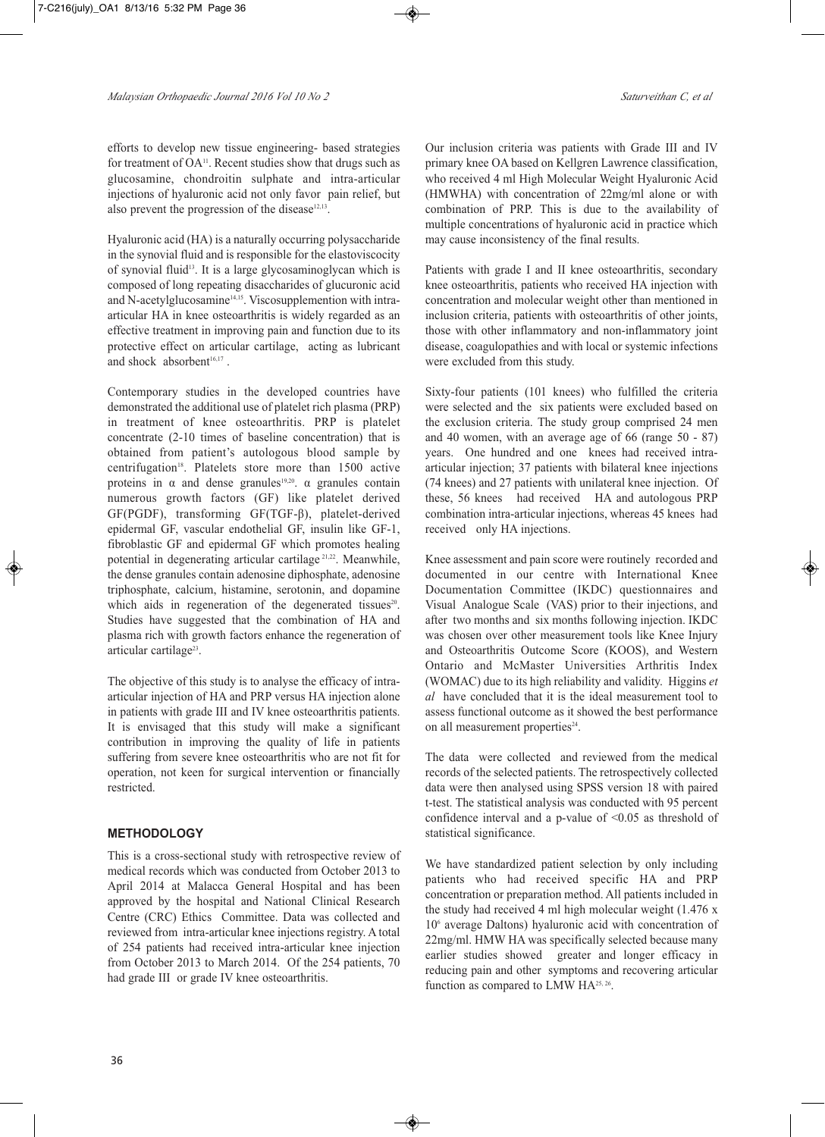efforts to develop new tissue engineering- based strategies for treatment of  $OA<sup>11</sup>$ . Recent studies show that drugs such as glucosamine, chondroitin sulphate and intra-articular injections of hyaluronic acid not only favor pain relief, but also prevent the progression of the disease $12,13$ .

Hyaluronic acid (HA) is a naturally occurring polysaccharide in the synovial fluid and is responsible for the elastoviscocity of synovial fluid<sup>13</sup>. It is a large glycosaminoglycan which is composed of long repeating disaccharides of glucuronic acid and N-acetylglucosamine<sup>14,15</sup>. Viscosupplemention with intraarticular HA in knee osteoarthritis is widely regarded as an effective treatment in improving pain and function due to its protective effect on articular cartilage, acting as lubricant and shock absorbent 16,17 .

Contemporary studies in the developed countries have demonstrated the additional use of platelet rich plasma (PRP) in treatment of knee osteoarthritis. PRP is platelet concentrate (2-10 times of baseline concentration) that is obtained from patient's autologous blood sample by centrifugation18 . Platelets store more than 1500 active proteins in  $\alpha$  and dense granules<sup>19,20</sup>.  $\alpha$  granules contain numerous growth factors (GF) like platelet derived GF(PGDF), transforming GF(TGF-β), platelet-derived epidermal GF, vascular endothelial GF, insulin like GF-1, fibroblastic GF and epidermal GF which promotes healing potential in degenerating articular cartilage 21,22 . Meanwhile, the dense granules contain adenosine diphosphate, adenosine triphosphate, calcium, histamine, serotonin, and dopamine which aids in regeneration of the degenerated tissues<sup>20</sup>. Studies have suggested that the combination of HA and plasma rich with growth factors enhance the regeneration of articular cartilage<sup>23</sup>.

The objective of this study is to analyse the efficacy of intraarticular injection of HA and PRP versus HA injection alone in patients with grade III and IV knee osteoarthritis patients. It is envisaged that this study will make a significant contribution in improving the quality of life in patients suffering from severe knee osteoarthritis who are not fit for operation, not keen for surgical intervention or financially restricted.

# **METHODOLOGY**

This is a cross-sectional study with retrospective review of medical records which was conducted from October 2013 to April 2014 at Malacca General Hospital and has been approved by the hospital and National Clinical Research Centre (CRC) Ethics Committee. Data was collected and reviewed from intra-articular knee injections registry. A total of 254 patients had received intra-articular knee injection from October 2013 to March 2014. Of the 254 patients, 70 had grade III or grade IV knee osteoarthritis.

Our inclusion criteria was patients with Grade III and IV primary knee OA based on Kellgren Lawrence classification, who received 4 ml High Molecular Weight Hyaluronic Acid (HMWHA) with concentration of 22mg/ml alone or with combination of PRP. This is due to the availability of multiple concentrations of hyaluronic acid in practice which may cause inconsistency of the final results.

Patients with grade I and II knee osteoarthritis, secondary knee osteoarthritis, patients who received HA injection with concentration and molecular weight other than mentioned in inclusion criteria, patients with osteoarthritis of other joints, those with other inflammatory and non-inflammatory joint disease, coagulopathies and with local or systemic infections were excluded from this study.

Sixty-four patients (101 knees) who fulfilled the criteria were selected and the six patients were excluded based on the exclusion criteria. The study group comprised 24 men and 40 women, with an average age of 66 (range 50 - 87) years. One hundred and one knees had received intraarticular injection; 37 patients with bilateral knee injections (74 knees) and 27 patients with unilateral knee injection. Of these, 56 knees had received HA and autologous PRP combination intra-articular injections, whereas 45 knees had received only HA injections.

Knee assessment and pain score were routinely recorded and documented in our centre with International Knee Documentation Committee (IKDC) questionnaires and Visual Analogue Scale (VAS) prior to their injections, and after two months and six months following injection. IKDC was chosen over other measurement tools like Knee Injury and Osteoarthritis Outcome Score (KOOS), and Western Ontario and McMaster Universities Arthritis Index (WOMAC) due to its high reliability and validity. Higgins *et al* have concluded that it is the ideal measurement tool to assess functional outcome as it showed the best performance on all measurement properties<sup>24</sup>.

The data were collected and reviewed from the medical records of the selected patients. The retrospectively collected data were then analysed using SPSS version 18 with paired t-test. The statistical analysis was conducted with 95 percent confidence interval and a p-value of  $\leq 0.05$  as threshold of statistical significance.

We have standardized patient selection by only including patients who had received specific HA and PRP concentration or preparation method. All patients included in the study had received 4 ml high molecular weight (1.476 x 106 average Daltons) hyaluronic acid with concentration of 22mg/ml. HMW HA was specifically selected because many earlier studies showed greater and longer efficacy in reducing pain and other symptoms and recovering articular function as compared to LMW HA<sup>25, 26</sup>.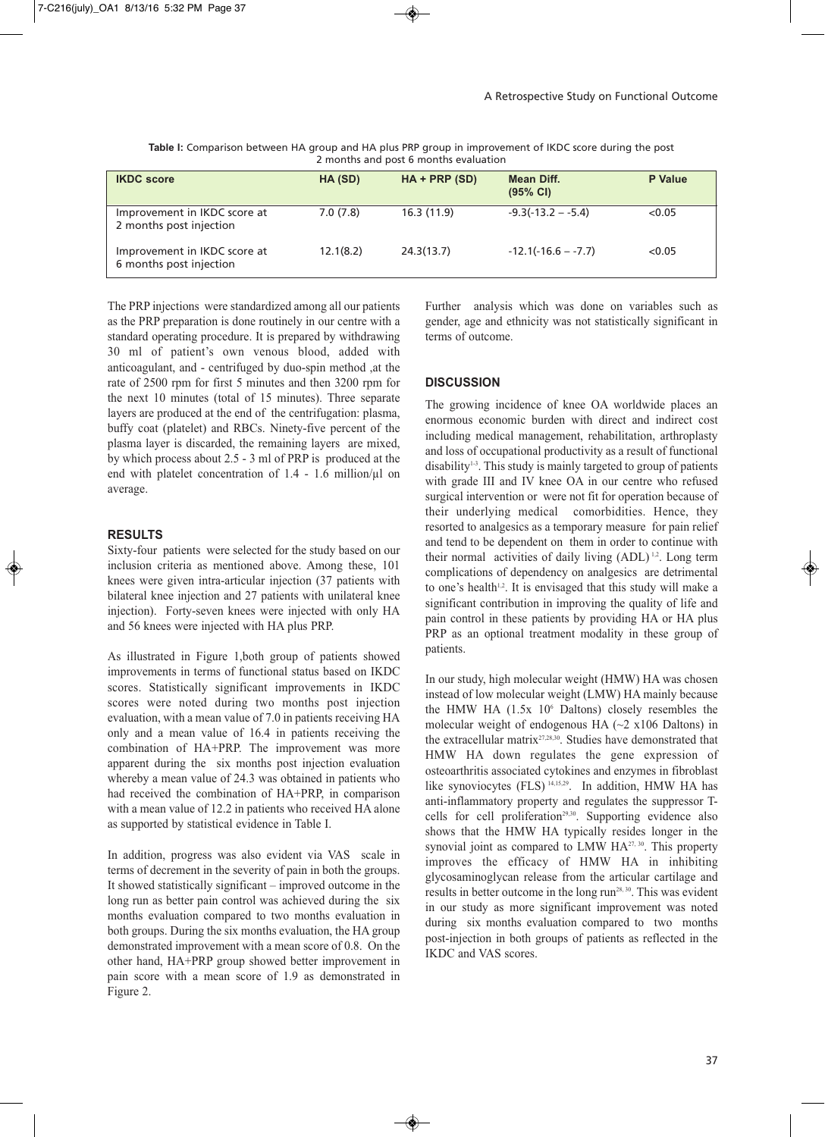|                                                         | <u>L'INSTRITS GITA POST O INONITIS CVARACION</u> |                |                                  |                |
|---------------------------------------------------------|--------------------------------------------------|----------------|----------------------------------|----------------|
| <b>IKDC</b> score                                       | HA (SD)                                          | $HA + PRP(SD)$ | Mean Diff.<br>$(95% \text{ Cl})$ | <b>P</b> Value |
| Improvement in IKDC score at<br>2 months post injection | 7.0(7.8)                                         | 16.3(11.9)     | $-9.3(-13.2 - -5.4)$             | < 0.05         |
| Improvement in IKDC score at<br>6 months post injection | 12.1(8.2)                                        | 24.3(13.7)     | $-12.1(-16.6 - -7.7)$            | < 0.05         |

**Table I:** Comparison between HA group and HA plus PRP group in improvement of IKDC score during the post 2 months and post 6 months evaluation

The PRP injections were standardized among all our patients as the PRP preparation is done routinely in our centre with a standard operating procedure. It is prepared by withdrawing 30 ml of patient's own venous blood, added with anticoagulant, and - centrifuged by duo-spin method ,at the rate of 2500 rpm for first 5 minutes and then 3200 rpm for the next 10 minutes (total of 15 minutes). Three separate layers are produced at the end of the centrifugation: plasma, buffy coat (platelet) and RBCs. Ninety-five percent of the plasma layer is discarded, the remaining layers are mixed, by which process about 2.5 - 3 ml of PRP is produced at the end with platelet concentration of  $1.4$  -  $1.6$  million/ $\mu$ l on average.

#### **RESULTS**

Sixty-four patients were selected for the study based on our inclusion criteria as mentioned above. Among these, 101 knees were given intra-articular injection (37 patients with bilateral knee injection and 27 patients with unilateral knee injection). Forty-seven knees were injected with only HA and 56 knees were injected with HA plus PRP.

As illustrated in Figure 1,both group of patients showed improvements in terms of functional status based on IKDC scores. Statistically significant improvements in IKDC scores were noted during two months post injection evaluation, with a mean value of 7.0 in patients receiving HA only and a mean value of 16.4 in patients receiving the combination of HA+PRP. The improvement was more apparent during the six months post injection evaluation whereby a mean value of 24.3 was obtained in patients who had received the combination of HA+PRP, in comparison with a mean value of 12.2 in patients who received HA alone as supported by statistical evidence in Table I.

In addition, progress was also evident via VAS scale in terms of decrement in the severity of pain in both the groups. It showed statistically significant – improved outcome in the long run as better pain control was achieved during the six months evaluation compared to two months evaluation in both groups. During the six months evaluation, the HA group demonstrated improvement with a mean score of 0.8. On the other hand, HA+PRP group showed better improvement in pain score with a mean score of 1.9 as demonstrated in Figure 2.

Further analysis which was done on variables such as gender, age and ethnicity was not statistically significant in terms of outcome.

### **DISCUSSION**

The growing incidence of knee OA worldwide places an enormous economic burden with direct and indirect cost including medical management, rehabilitation, arthroplasty and loss of occupational productivity as a result of functional disability<sup>13</sup>. This study is mainly targeted to group of patients with grade III and IV knee OA in our centre who refused surgical intervention or were not fit for operation because of their underlying medical comorbidities. Hence, they resorted to analgesics as a temporary measure for pain relief and tend to be dependent on them in order to continue with their normal activities of daily living (ADL)<sup>1,2</sup>. Long term complications of dependency on analgesics are detrimental to one's health<sup>1,2</sup>. It is envisaged that this study will make a significant contribution in improving the quality of life and pain control in these patients by providing HA or HA plus PRP as an optional treatment modality in these group of patients.

In our study, high molecular weight (HMW) HA was chosen instead of low molecular weight (LMW) HA mainly because the HMW HA  $(1.5x\;10^6\;$  Daltons) closely resembles the molecular weight of endogenous HA  $(\sim 2 \times 106$  Daltons) in the extracellular matrix $27,28,30$ . Studies have demonstrated that HMW HA down regulates the gene expression of osteoarthritis associated cytokines and enzymes in fibroblast like synoviocytes (FLS) <sup>14,15,29</sup>. In addition, HMW HA has anti-inflammatory property and regulates the suppressor Tcells for cell proliferation<sup>29,30</sup>. Supporting evidence also shows that the HMW HA typically resides longer in the synovial joint as compared to LMW  $HA^{27,30}$ . This property improves the efficacy of HMW HA in inhibiting glycosaminoglycan release from the articular cartilage and results in better outcome in the long  $run^{28,30}$ . This was evident in our study as more significant improvement was noted during six months evaluation compared to two months post-injection in both groups of patients as reflected in the IKDC and VAS scores.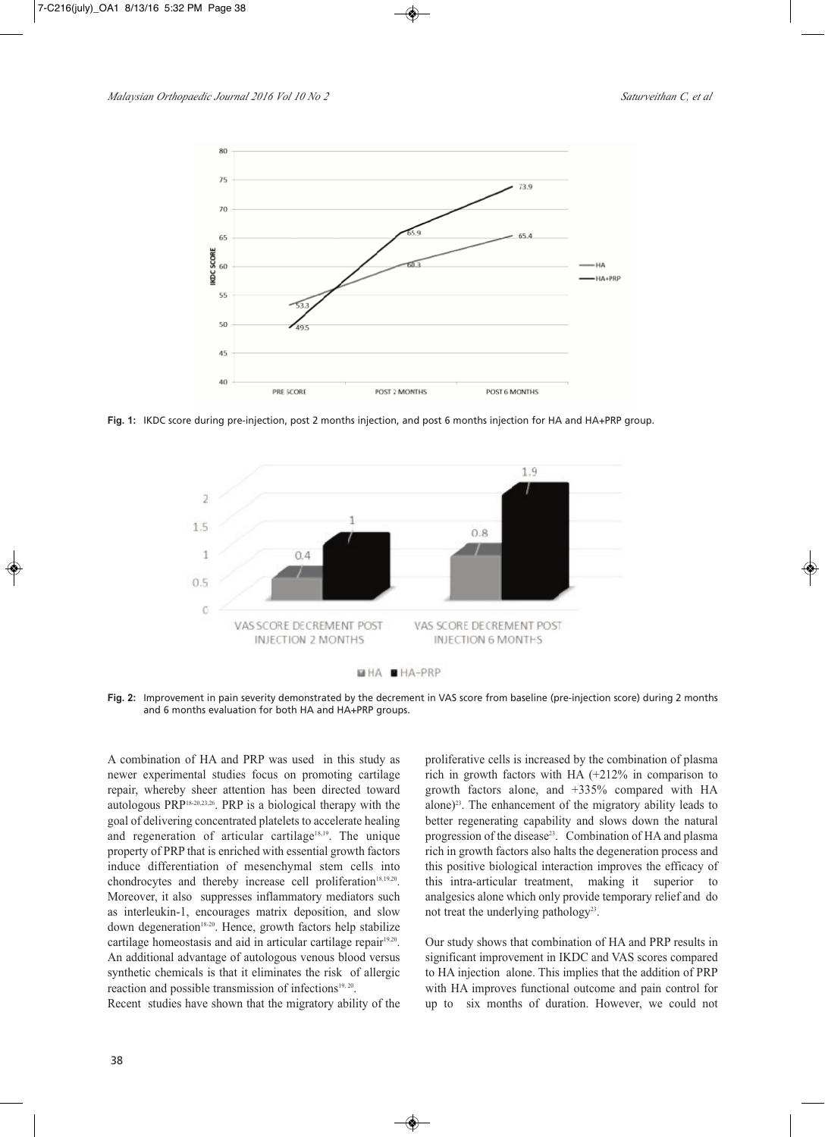

**Fig. 1:** IKDC score during pre-injection, post 2 months injection, and post 6 months injection for HA and HA+PRP group.

![](_page_3_Figure_4.jpeg)

**Fig. 2:** Improvement in pain severity demonstrated by the decrement in VAS score from baseline (pre-injection score) during 2 months and 6 months evaluation for both HA and HA+PRP groups.

A combination of HA and PRP was used in this study as newer experimental studies focus on promoting cartilage repair, whereby sheer attention has been directed toward autologous PRP18-20,23,26 . PRP is a biological therapy with the goal of delivering concentrated platelets to accelerate healing and regeneration of articular cartilage<sup>18,19</sup>. The unique property of PRP that is enriched with essential growth factors induce differentiation of mesenchymal stem cells into chondrocytes and thereby increase cell proliferation<sup>18,19,20</sup>. Moreover, it also suppresses inflammatory mediators such as interleukin-1, encourages matrix deposition, and slow down degeneration<sup>18-20</sup>. Hence, growth factors help stabilize cartilage homeostasis and aid in articular cartilage repair<sup>19,20</sup>. An additional advantage of autologous venous blood versus synthetic chemicals is that it eliminates the risk of allergic reaction and possible transmission of infections<sup>19, 20</sup>.

Recent studies have shown that the migratory ability of the

proliferative cells is increased by the combination of plasma rich in growth factors with HA (+212% in comparison to growth factors alone, and +335% compared with HA alone) 23 . The enhancement of the migratory ability leads to better regenerating capability and slows down the natural progression of the disease<sup>23</sup>. Combination of HA and plasma rich in growth factors also halts the degeneration process and this positive biological interaction improves the efficacy of this intra-articular treatment, making it superior to analgesics alone which only provide temporary relief and do not treat the underlying pathology<sup>23</sup>.

Our study shows that combination of HA and PRP results in significant improvement in IKDC and VAS scores compared to HA injection alone. This implies that the addition of PRP with HA improves functional outcome and pain control for up to six months of duration. However, we could not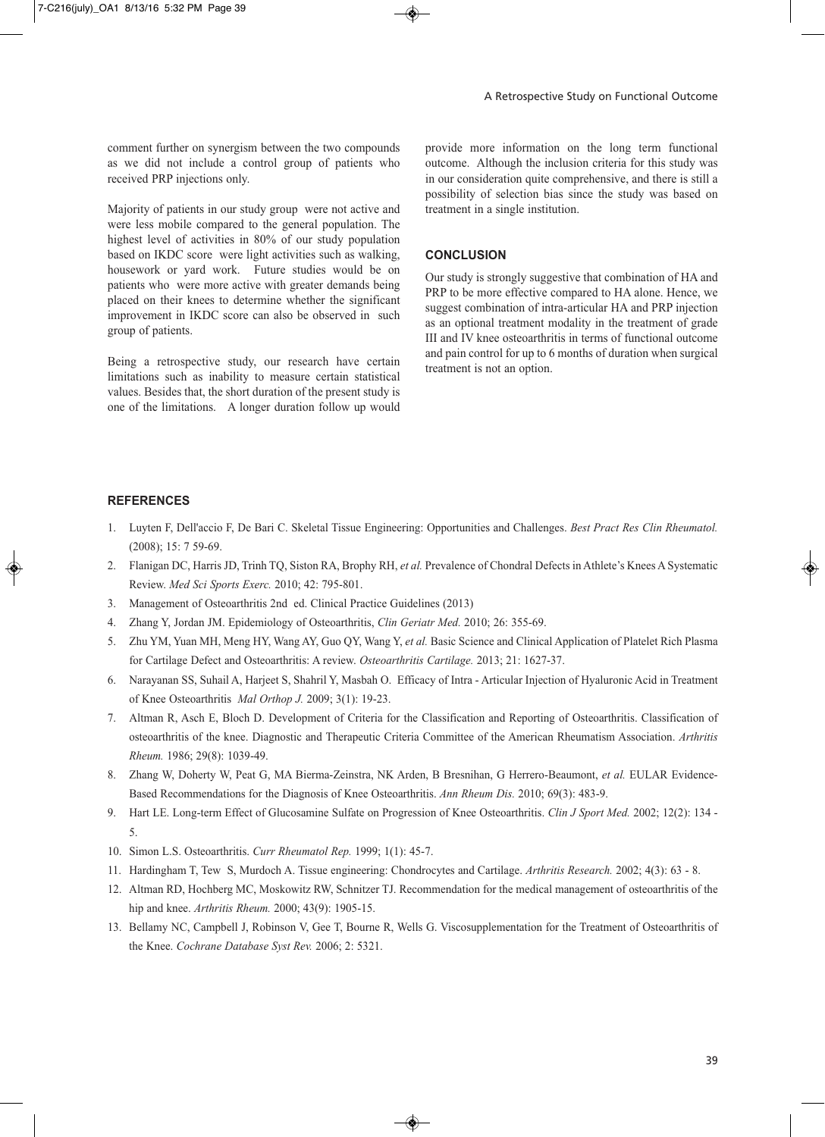comment further on synergism between the two compounds as we did not include a control group of patients who received PRP injections only.

Majority of patients in our study group were not active and were less mobile compared to the general population. The highest level of activities in 80% of our study population based on IKDC score were light activities such as walking, housework or yard work. Future studies would be on patients who were more active with greater demands being placed on their knees to determine whether the significant improvement in IKDC score can also be observed in such group of patients.

Being a retrospective study, our research have certain limitations such as inability to measure certain statistical values. Besides that, the short duration of the present study is one of the limitations. A longer duration follow up would

provide more information on the long term functional outcome. Although the inclusion criteria for this study was in our consideration quite comprehensive, and there is still a possibility of selection bias since the study was based on treatment in a single institution.

# **CONCLUSION**

Our study is strongly suggestive that combination of HA and PRP to be more effective compared to HA alone. Hence, we suggest combination of intra-articular HA and PRP injection as an optional treatment modality in the treatment of grade III and IV knee osteoarthritis in terms of functional outcome and pain control for up to 6 months of duration when surgical treatment is not an option.

#### **REFERENCES**

- 1. Luyten F, Dell'accio F, De Bari C. Skeletal Tissue Engineering: Opportunities and Challenges. *Best Pract Res Clin Rheumatol.* (2008); 15: 7 59-69.
- 2. Flanigan DC, Harris JD, Trinh TQ, Siston RA, Brophy RH, *et al.* Prevalence of Chondral Defects in Athlete's Knees A Systematic Review. *Med Sci Sports Exerc.* 2010; 42: 795-801.
- 3. Management of Osteoarthritis 2nd ed. Clinical Practice Guidelines (2013)
- 4. Zhang Y, Jordan JM. Epidemiology of Osteoarthritis, *Clin Geriatr Med.* 2010; 26: 355-69.
- 5. Zhu YM, Yuan MH, Meng HY, Wang AY, Guo QY, Wang Y, *et al.* Basic Science and Clinical Application of Platelet Rich Plasma for Cartilage Defect and Osteoarthritis: A review. *Osteoarthritis Cartilage.* 2013; 21: 1627-37.
- 6. Narayanan SS, Suhail A, Harjeet S, Shahril Y, Masbah O. Efficacy of Intra Articular Injection of Hyaluronic Acid in Treatment of Knee Osteoarthritis *Mal Orthop J.* 2009; 3(1): 19-23.
- 7. Altman R, Asch E, Bloch D. Development of Criteria for the Classification and Reporting of Osteoarthritis. Classification of osteoarthritis of the knee. Diagnostic and Therapeutic Criteria Committee of the American Rheumatism Association. *Arthritis Rheum.* 1986; 29(8): 1039-49.
- 8. Zhang W, Doherty W, Peat G, MA Bierma-Zeinstra, NK Arden, B Bresnihan, G Herrero-Beaumont, *et al.* EULAR Evidence-Based Recommendations for the Diagnosis of Knee Osteoarthritis. *Ann Rheum Dis.* 2010; 69(3): 483-9.
- 9. Hart LE. Long-term Effect of Glucosamine Sulfate on Progression of Knee Osteoarthritis. *Clin J Sport Med.* 2002; 12(2): 134 5.
- 10. Simon L.S. Osteoarthritis. *Curr Rheumatol Rep.* 1999; 1(1): 45-7.
- 11. Hardingham T, Tew S, Murdoch A. Tissue engineering: Chondrocytes and Cartilage. *Arthritis Research.* 2002; 4(3): 63 8.
- 12. Altman RD, Hochberg MC, Moskowitz RW, Schnitzer TJ. Recommendation for the medical management of osteoarthritis of the hip and knee. *Arthritis Rheum.* 2000; 43(9): 1905-15.
- 13. Bellamy NC, Campbell J, Robinson V, Gee T, Bourne R, Wells G. Viscosupplementation for the Treatment of Osteoarthritis of the Knee. *Cochrane Database Syst Rev.* 2006; 2: 5321.